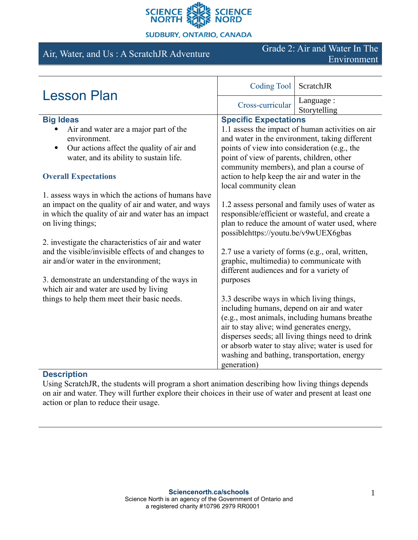

### **SUDBURY, ONTARIO, CANADA**

Air, Water, and Us : A ScratchJR Adventure Grade 2: Air and Water In The Environment

| <b>Lesson Plan</b>                                                                                                              | Coding Tool                                                                                                                                                                                  | ScratchJR                                        |
|---------------------------------------------------------------------------------------------------------------------------------|----------------------------------------------------------------------------------------------------------------------------------------------------------------------------------------------|--------------------------------------------------|
|                                                                                                                                 | Cross-curricular                                                                                                                                                                             | Language :<br>Storytelling                       |
| <b>Big Ideas</b>                                                                                                                | <b>Specific Expectations</b>                                                                                                                                                                 |                                                  |
| Air and water are a major part of the                                                                                           | 1.1 assess the impact of human activities on air                                                                                                                                             |                                                  |
| environment.                                                                                                                    | and water in the environment, taking different                                                                                                                                               |                                                  |
| Our actions affect the quality of air and                                                                                       | points of view into consideration (e.g., the                                                                                                                                                 |                                                  |
| water, and its ability to sustain life.                                                                                         | point of view of parents, children, other<br>community members), and plan a course of                                                                                                        |                                                  |
| <b>Overall Expectations</b>                                                                                                     | action to help keep the air and water in the<br>local community clean                                                                                                                        |                                                  |
| 1. assess ways in which the actions of humans have                                                                              |                                                                                                                                                                                              |                                                  |
| an impact on the quality of air and water, and ways<br>in which the quality of air and water has an impact<br>on living things; | 1.2 assess personal and family uses of water as<br>responsible/efficient or wasteful, and create a<br>plan to reduce the amount of water used, where<br>possiblehttps://youtu.be/v9wUEX6gbas |                                                  |
| 2. investigate the characteristics of air and water                                                                             |                                                                                                                                                                                              |                                                  |
| and the visible/invisible effects of and changes to<br>air and/or water in the environment;                                     | 2.7 use a variety of forms (e.g., oral, written,<br>graphic, multimedia) to communicate with<br>different audiences and for a variety of                                                     |                                                  |
| 3. demonstrate an understanding of the ways in<br>which air and water are used by living                                        | purposes                                                                                                                                                                                     |                                                  |
| things to help them meet their basic needs.                                                                                     | 3.3 describe ways in which living things,<br>including humans, depend on air and water                                                                                                       |                                                  |
|                                                                                                                                 |                                                                                                                                                                                              | (e.g., most animals, including humans breather   |
|                                                                                                                                 | air to stay alive; wind generates energy,                                                                                                                                                    |                                                  |
|                                                                                                                                 |                                                                                                                                                                                              | disperses seeds; all living things need to drink |
|                                                                                                                                 |                                                                                                                                                                                              | or absorb water to stay alive; water is used for |
|                                                                                                                                 | washing and bathing, transportation, energy                                                                                                                                                  |                                                  |
|                                                                                                                                 | generation)                                                                                                                                                                                  |                                                  |

# **Description**

Using ScratchJR, the students will program a short animation describing how living things depends on air and water. They will further explore their choices in their use of water and present at least one action or plan to reduce their usage.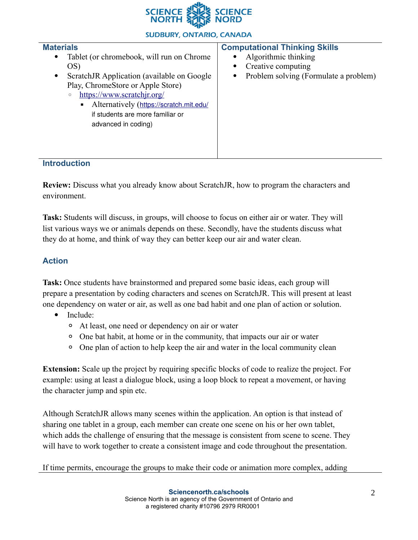

### **SUDBURY, ONTARIO, CANADA**

| <b>Materials</b><br>Tablet (or chromebook, will run on Chrome<br>$\bullet$<br>OS)<br>ScratchJR Application (available on Google)<br>$\bullet$<br>Play, ChromeStore or Apple Store)<br>https://www.scratchjr.org/<br>$\circ$<br>Alternatively (https://scratch.mit.edu/<br>if students are more familiar or<br>advanced in coding) | <b>Computational Thinking Skills</b><br>Algorithmic thinking<br>Creative computing<br>$\bullet$<br>Problem solving (Formulate a problem)<br>٠ |
|-----------------------------------------------------------------------------------------------------------------------------------------------------------------------------------------------------------------------------------------------------------------------------------------------------------------------------------|-----------------------------------------------------------------------------------------------------------------------------------------------|
| <b>Introduction</b>                                                                                                                                                                                                                                                                                                               |                                                                                                                                               |

**Review:** Discuss what you already know about ScratchJR, how to program the characters and environment.

**Task:** Students will discuss, in groups, will choose to focus on either air or water. They will list various ways we or animals depends on these. Secondly, have the students discuss what they do at home, and think of way they can better keep our air and water clean.

## **Action**

**Task:** Once students have brainstormed and prepared some basic ideas, each group will prepare a presentation by coding characters and scenes on ScratchJR. This will present at least one dependency on water or air, as well as one bad habit and one plan of action or solution.

- Include:
	- At least, one need or dependency on air or water
	- One bat habit, at home or in the community, that impacts our air or water
	- One plan of action to help keep the air and water in the local community clean

**Extension:** Scale up the project by requiring specific blocks of code to realize the project. For example: using at least a dialogue block, using a loop block to repeat a movement, or having the character jump and spin etc.

Although ScratchJR allows many scenes within the application. An option is that instead of sharing one tablet in a group, each member can create one scene on his or her own tablet, which adds the challenge of ensuring that the message is consistent from scene to scene. They will have to work together to create a consistent image and code throughout the presentation.

If time permits, encourage the groups to make their code or animation more complex, adding